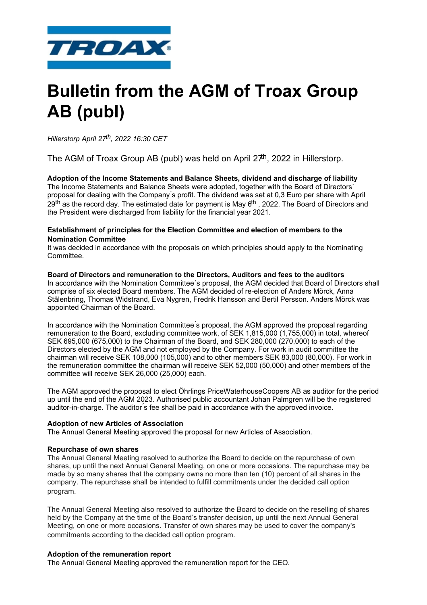

# **Bulletin from the AGM of Troax Group AB (publ)**

*Hillerstorp April 27th, 2022 16:30 CET*

The AGM of Troax Group AB (publ) was held on April  $27<sup>th</sup>$ , 2022 in Hillerstorp.

**Adoption of the Income Statements and Balance Sheets, dividend and discharge of liability**  The Income Statements and Balance Sheets were adopted, together with the Board of Directors` proposal for dealing with the Company ́s profit. The dividend was set at 0,3 Euro per share with April 29<sup>th</sup> as the record day. The estimated date for payment is May 6<sup>th</sup>, 2022. The Board of Directors and the President were discharged from liability for the financial year 2021.

# **Establishment of principles for the Election Committee and election of members to the Nomination Committee**

It was decided in accordance with the proposals on which principles should apply to the Nominating Committee.

#### **Board of Directors and remuneration to the Directors, Auditors and fees to the auditors**

In accordance with the Nomination Committee´s proposal, the AGM decided that Board of Directors shall comprise of six elected Board members. The AGM decided of re-election of Anders Mörck, Anna Stålenbring, Thomas Widstrand, Eva Nygren, Fredrik Hansson and Bertil Persson. Anders Mörck was appointed Chairman of the Board.

In accordance with the Nomination Committee ́s proposal, the AGM approved the proposal regarding remuneration to the Board, excluding committee work, of SEK 1,815,000 (1,755,000) in total, whereof SEK 695,000 (675,000) to the Chairman of the Board, and SEK 280,000 (270,000) to each of the Directors elected by the AGM and not employed by the Company. For work in audit committee the chairman will receive SEK 108,000 (105,000) and to other members SEK 83,000 (80,000). For work in the remuneration committee the chairman will receive SEK 52,000 (50,000) and other members of the committee will receive SEK 26,000 (25,000) each.

The AGM approved the proposal to elect Öhrlings PriceWaterhouseCoopers AB as auditor for the period up until the end of the AGM 2023. Authorised public accountant Johan Palmgren will be the registered auditor-in-charge. The auditor ́s fee shall be paid in accordance with the approved invoice.

### **Adoption of new Articles of Association**

The Annual General Meeting approved the proposal for new Articles of Association.

### **Repurchase of own shares**

The Annual General Meeting resolved to authorize the Board to decide on the repurchase of own shares, up until the next Annual General Meeting, on one or more occasions. The repurchase may be made by so many shares that the company owns no more than ten (10) percent of all shares in the company. The repurchase shall be intended to fulfill commitments under the decided call option program.

The Annual General Meeting also resolved to authorize the Board to decide on the reselling of shares held by the Company at the time of the Board's transfer decision, up until the next Annual General Meeting, on one or more occasions. Transfer of own shares may be used to cover the company's commitments according to the decided call option program.

### **Adoption of the remuneration report**

The Annual General Meeting approved the remuneration report for the CEO.